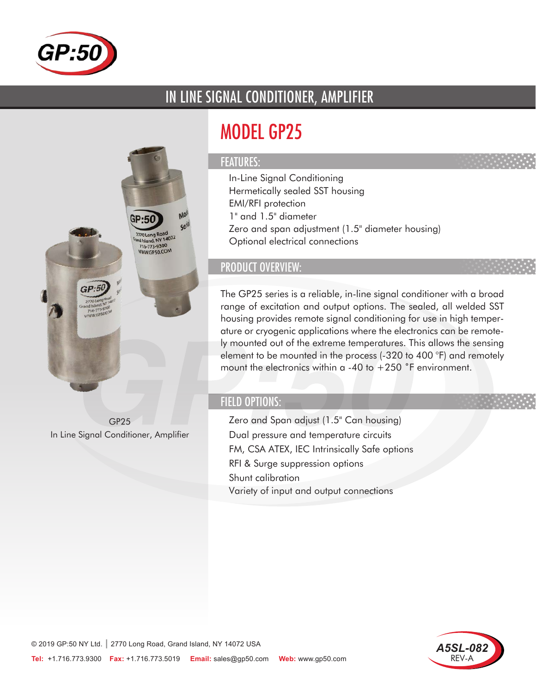

## IN LINE SIGNAL CONDITIONER, AMPLIFIER

# MODEL GP25

#### FEATURES:

- In-Line Signal Conditioning
- Hermetically sealed SST housing
- EMI/RFI protection
- 1" and 1.5" diameter
- Zero and span adjustment (1.5" diameter housing)
- Optional electrical connections

### PRODUCT OVERVIEW:

The GP25 series is a reliable, in-line signal conditioner with a broad range of excitation and output options. The sealed, all welded SST housing provides remote signal conditioning for use in high temperature or cryogenic applications where the electronics can be remotely mounted out of the extreme temperatures. This allows the sensing element to be mounted in the process (-320 to 400 °F) and remotely mount the electronics within  $a - 40$  to  $+250$  °F environment.

#### FIELD OPTIONS:

- Zero and Span adjust (1.5" Can housing)
- Dual pressure and temperature circuits
- FM, CSA ATEX, IEC Intrinsically Safe options
- RFI & Surge suppression options
- Shunt calibration
- Variety of input and output connections





GP25 In Line Signal Conditioner, Amplifier